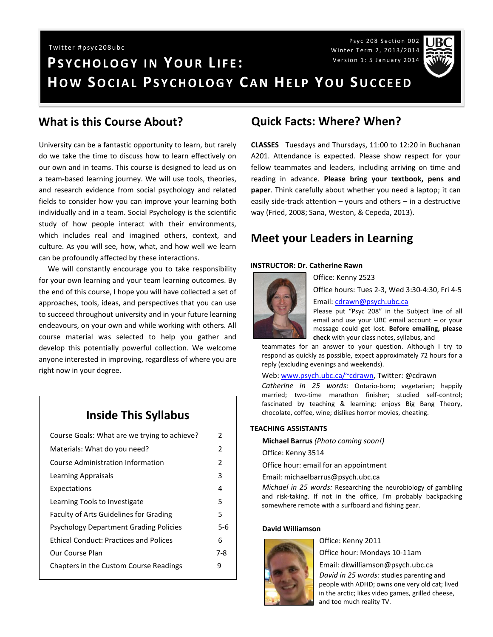Psyc 208 Section 002 Winter Term 2, 2013/2014 Version 1: 5 January 2014



# **PS Y C H O L O G Y I N YO U R L I F E : HOW SOCIAL PSYCHOLOGY CAN HELP YOU SUCCEED** Twitter #psyc208ubc

### **What is this Course About?**

University can be a fantastic opportunity to learn, but rarely do we take the time to discuss how to learn effectively on our own and in teams. This course is designed to lead us on a team-based learning journey. We will use tools, theories, and research evidence from social psychology and related fields to consider how you can improve your learning both individually and in a team. Social Psychology is the scientific study of how people interact with their environments, which includes real and imagined others, context, and culture. As you will see, how, what, and how well we learn can be profoundly affected by these interactions.

 We will constantly encourage you to take responsibility for your own learning and your team learning outcomes. By the end of this course, I hope you will have collected a set of approaches, tools, ideas, and perspectives that you can use to succeed throughout university and in your future learning endeavours, on your own and while working with others. All course material was selected to help you gather and develop this potentially powerful collection. We welcome anyone interested in improving, regardless of where you are right now in your degree.

### **Inside This Syllabus**

| Course Goals: What are we trying to achieve?  | 2             |
|-----------------------------------------------|---------------|
| Materials: What do you need?                  | $\mathcal{P}$ |
| Course Administration Information             | $\mathcal{P}$ |
| Learning Appraisals                           | 3             |
| Expectations                                  | 4             |
| Learning Tools to Investigate                 | 5             |
| <b>Faculty of Arts Guidelines for Grading</b> | 5             |
| <b>Psychology Department Grading Policies</b> | 5-6           |
| <b>Ethical Conduct: Practices and Polices</b> | 6             |
| Our Course Plan                               | 7-8           |
| Chapters in the Custom Course Readings        | 9             |
|                                               |               |

### **Quick Facts: Where? When?**

**CLASSES** Tuesdays and Thursdays, 11:00 to 12:20 in Buchanan A201. Attendance is expected. Please show respect for your fellow teammates and leaders, including arriving on time and reading in advance. **Please bring your textbook, pens and paper**. Think carefully about whether you need a laptop; it can easily side-track attention – yours and others – in a destructive way (Fried, 2008; Sana, Weston, & Cepeda, 2013).

### **Meet your Leaders in Learning**

Office: Kenny 2523

#### **INSTRUCTOR: Dr. Catherine Rawn**



Office hours: Tues 2-3, Wed 3:30-4:30, Fri 4-5

#### Email: [cdrawn@psych.ubc.ca](mailto:cdrawn@psych.ubc.ca)

Please put "Psyc 208" in the Subject line of all email and use your UBC email account – or your message could get lost. **Before emailing, please check** with your class notes, syllabus, and

teammates for an answer to your question. Although I try to respond as quickly as possible, expect approximately 72 hours for a reply (excluding evenings and weekends).

Web: [www.psych.ubc.ca/~cdrawn,](http://www.psych.ubc.ca/~cdrawn) Twitter: @cdrawn

*Catherine in 25 words:* Ontario-born; vegetarian; happily married; two-time marathon finisher; studied self-control; fascinated by teaching & learning; enjoys Big Bang Theory, chocolate, coffee, wine; dislikes horror movies, cheating.

#### **TEACHING ASSISTANTS**

**Michael Barrus** *(Photo coming soon!)*

Office: Kenny 3514

Office hour: email for an appointment

Email: michaelbarrus@psych.ubc.ca

*Michael in 25 words:* Researching the neurobiology of gambling and risk-taking. If not in the office, I'm probably backpacking somewhere remote with a surfboard and fishing gear.

#### **David Williamson**



Office: Kenny 2011

Office hour: Mondays 10-11am

Email: dkwilliamson@psych.ubc.ca *David in 25 words:* studies parenting and people with ADHD; owns one very old cat; lived in the arctic; likes video games, grilled cheese, and too much reality TV.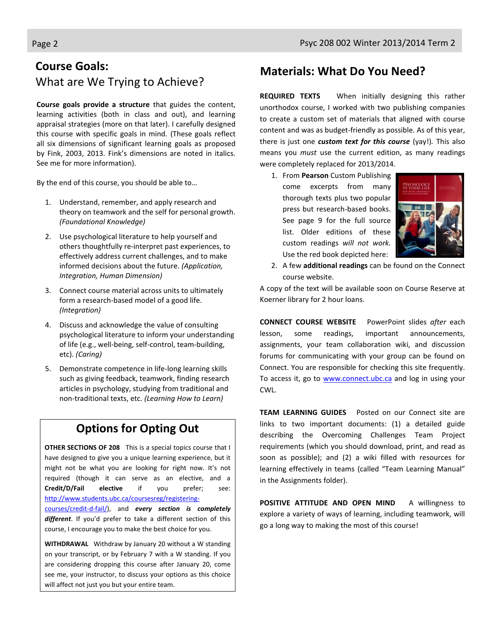# **Course Goals:** What are We Trying to Achieve?

**Course goals provide a structure** that guides the content, learning activities (both in class and out), and learning appraisal strategies (more on that later). I carefully designed this course with specific goals in mind. (These goals reflect all six dimensions of significant learning goals as proposed by Fink, 2003, 2013. Fink's dimensions are noted in italics. See me for more information).

By the end of this course, you should be able to…

- 1. Understand, remember, and apply research and theory on teamwork and the self for personal growth. *(Foundational Knowledge)*
- 2. Use psychological literature to help yourself and others thoughtfully re-interpret past experiences, to effectively address current challenges, and to make informed decisions about the future. *(Application, Integration, Human Dimension)*
- 3. Connect course material across units to ultimately form a research-based model of a good life. *(Integration)*
- 4. Discuss and acknowledge the value of consulting psychological literature to inform your understanding of life (e.g., well-being, self-control, team-building, etc). *(Caring)*
- 5. Demonstrate competence in life-long learning skills such as giving feedback, teamwork, finding research articles in psychology, studying from traditional and non-traditional texts, etc. *(Learning How to Learn)*

# **Options for Opting Out**

**OTHER SECTIONS OF 208** This is a special topics course that I have designed to give you a unique learning experience, but it might not be what you are looking for right now. It's not required (though it can serve as an elective, and a **Credit/D/Fail elective** if you prefer; see: [http://www.students.ubc.ca/coursesreg/registering](http://www.students.ubc.ca/coursesreg/registering-courses/credit-d-fail/)[courses/credit-d-fail/\)](http://www.students.ubc.ca/coursesreg/registering-courses/credit-d-fail/), and *every section is completely different*. If you'd prefer to take a different section of this course, I encourage you to make the best choice for you.

**WITHDRAWAL** Withdraw by January 20 without a W standing on your transcript, or by February 7 with a W standing. If you are considering dropping this course after January 20, come see me, your instructor, to discuss your options as this choice will affect not just you but your entire team.

# **Materials: What Do You Need?**

**REQUIRED TEXTS** When initially designing this rather unorthodox course, I worked with two publishing companies to create a custom set of materials that aligned with course content and was as budget-friendly as possible. As of this year, there is just one *custom text for this course* (yay!)*.* This also means you *must* use the current edition, as many readings were completely replaced for 2013/2014.

1. From **Pearson** Custom Publishing come excerpts from many thorough texts plus two popular press but research-based books. See page 9 for the full source list. Older editions of these custom readings *will not work.* Use the red book depicted here:



2. A few **additional readings** can be found on the Connect course website.

A copy of the text will be available soon on Course Reserve at Koerner library for 2 hour loans.

**CONNECT COURSE WEBSITE** PowerPoint slides *after* each lesson, some readings, important announcements, assignments, your team collaboration wiki, and discussion forums for communicating with your group can be found on Connect. You are responsible for checking this site frequently. To access it, go to [www.connect.ubc.ca](http://www.vista.ubc.ca/) and log in using your CWL.

**TEAM LEARNING GUIDES** Posted on our Connect site are links to two important documents: (1) a detailed guide describing the Overcoming Challenges Team Project requirements (which you should download, print, and read as soon as possible); and (2) a wiki filled with resources for learning effectively in teams (called "Team Learning Manual" in the Assignments folder).

POSITIVE ATTITUDE AND OPEN MIND A willingness to explore a variety of ways of learning, including teamwork, will go a long way to making the most of this course!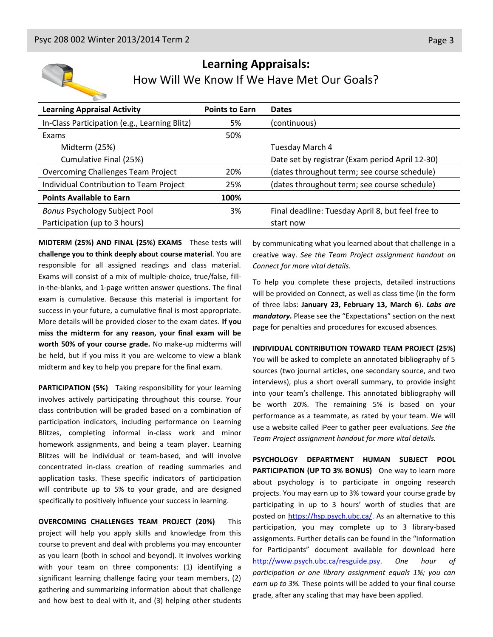

## **Learning Appraisals:** How Will We Know If We Have Met Our Goals?

| <b>Learning Appraisal Activity</b>            | <b>Points to Earn</b> | <b>Dates</b>                                      |
|-----------------------------------------------|-----------------------|---------------------------------------------------|
| In-Class Participation (e.g., Learning Blitz) | 5%                    | (continuous)                                      |
| Exams                                         | 50%                   |                                                   |
| Midterm (25%)                                 |                       | Tuesday March 4                                   |
| Cumulative Final (25%)                        |                       | Date set by registrar (Exam period April 12-30)   |
| <b>Overcoming Challenges Team Project</b>     | 20%                   | (dates throughout term; see course schedule)      |
| Individual Contribution to Team Project       | 25%                   | (dates throughout term; see course schedule)      |
| <b>Points Available to Earn</b>               | 100%                  |                                                   |
| <b>Bonus Psychology Subject Pool</b>          | 3%                    | Final deadline: Tuesday April 8, but feel free to |
| Participation (up to 3 hours)                 |                       | start now                                         |

**MIDTERM (25%) AND FINAL (25%) EXAMS** These tests will **challenge you to think deeply about course material**. You are responsible for all assigned readings and class material. Exams will consist of a mix of multiple-choice, true/false, fillin-the-blanks, and 1-page written answer questions. The final exam is cumulative. Because this material is important for success in your future, a cumulative final is most appropriate. More details will be provided closer to the exam dates. **If you miss the midterm for any reason, your final exam will be worth 50% of your course grade.** No make-up midterms will be held, but if you miss it you are welcome to view a blank midterm and key to help you prepare for the final exam.

**PARTICIPATION (5%)** Taking responsibility for your learning involves actively participating throughout this course. Your class contribution will be graded based on a combination of participation indicators, including performance on Learning Blitzes, completing informal in-class work and minor homework assignments, and being a team player. Learning Blitzes will be individual or team-based, and will involve concentrated in-class creation of reading summaries and application tasks. These specific indicators of participation will contribute up to 5% to your grade, and are designed specifically to positively influence your success in learning.

**OVERCOMING CHALLENGES TEAM PROJECT (20%)** This project will help you apply skills and knowledge from this course to prevent and deal with problems you may encounter as you learn (both in school and beyond). It involves working with your team on three components: (1) identifying a significant learning challenge facing your team members, (2) gathering and summarizing information about that challenge and how best to deal with it, and (3) helping other students

by communicating what you learned about that challenge in a creative way. *See the Team Project assignment handout on Connect for more vital details.*

To help you complete these projects, detailed instructions will be provided on Connect, as well as class time (in the form of three labs: **January 23, February 13, March 6**). *Labs are mandatory***.** Please see the "Expectations" section on the next page for penalties and procedures for excused absences.

#### **INDIVIDUAL CONTRIBUTION TOWARD TEAM PROJECT (25%)**

You will be asked to complete an annotated bibliography of 5 sources (two journal articles, one secondary source, and two interviews), plus a short overall summary, to provide insight into your team's challenge. This annotated bibliography will be worth 20%. The remaining 5% is based on your performance as a teammate, as rated by your team. We will use a website called iPeer to gather peer evaluations. *See the Team Project assignment handout for more vital details.*

**PSYCHOLOGY DEPARTMENT HUMAN SUBJECT POOL PARTICIPATION (UP TO 3% BONUS)** One way to learn more about psychology is to participate in ongoing research projects. You may earn up to 3% toward your course grade by participating in up to 3 hours' worth of studies that are posted on [https://hsp.psych.ubc.ca/.](https://hsp.psych.ubc.ca/) As an alternative to this participation, you may complete up to 3 library-based assignments. Further details can be found in the "Information for Participants" document available for download here [http://www.psych.ubc.ca/resguide.psy.](http://www.psych.ubc.ca/resguide.psy) *One hour of participation or one library assignment equals 1%; you can earn up to 3%.* These points will be added to your final course grade, after any scaling that may have been applied.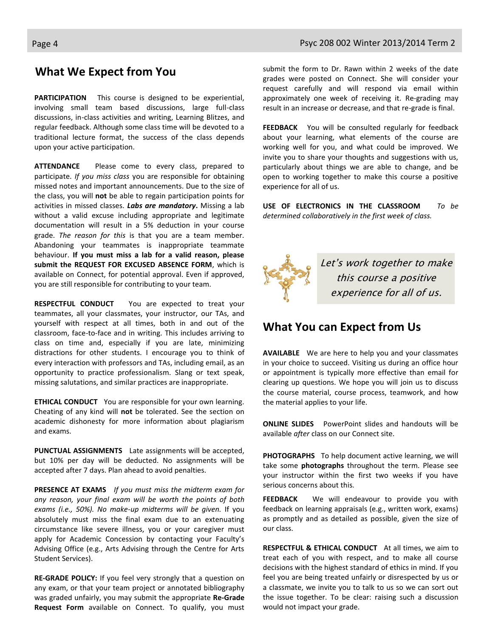### **What We Expect from You**

**PARTICIPATION** This course is designed to be experiential, involving small team based discussions, large full-class discussions, in-class activities and writing, Learning Blitzes, and regular feedback. Although some class time will be devoted to a traditional lecture format, the success of the class depends upon your active participation.

**ATTENDANCE** Please come to every class, prepared to participate. *If you miss class* you are responsible for obtaining missed notes and important announcements. Due to the size of the class, you will **not** be able to regain participation points for activities in missed classes. *Labs are mandatory***.** Missing a lab without a valid excuse including appropriate and legitimate documentation will result in a 5% deduction in your course grade. *The reason for this* is that you are a team member. Abandoning your teammates is inappropriate teammate behaviour. **If you must miss a lab for a valid reason, please submit the REQUEST FOR EXCUSED ABSENCE FORM**, which is available on Connect, for potential approval. Even if approved, you are still responsible for contributing to your team.

**RESPECTFUL CONDUCT** You are expected to treat your teammates, all your classmates, your instructor, our TAs, and yourself with respect at all times, both in and out of the classroom, face-to-face and in writing. This includes arriving to class on time and, especially if you are late, minimizing distractions for other students. I encourage you to think of every interaction with professors and TAs, including email, as an opportunity to practice professionalism. Slang or text speak, missing salutations, and similar practices are inappropriate.

**ETHICAL CONDUCT** You are responsible for your own learning. Cheating of any kind will **not** be tolerated. See the section on academic dishonesty for more information about plagiarism and exams.

**PUNCTUAL ASSIGNMENTS** Late assignments will be accepted, but 10% per day will be deducted. No assignments will be accepted after 7 days. Plan ahead to avoid penalties.

**PRESENCE AT EXAMS** *If you must miss the midterm exam for any reason, your final exam will be worth the points of both exams (i.e., 50%). No make-up midterms will be given.* If you absolutely must miss the final exam due to an extenuating circumstance like severe illness, you or your caregiver must apply for Academic Concession by contacting your Faculty's Advising Office (e.g., Arts Advising through the Centre for Arts Student Services).

**RE-GRADE POLICY:** If you feel very strongly that a question on any exam, or that your team project or annotated bibliography was graded unfairly, you may submit the appropriate **Re-Grade Request Form** available on Connect. To qualify, you must submit the form to Dr. Rawn within 2 weeks of the date grades were posted on Connect. She will consider your request carefully and will respond via email within approximately one week of receiving it. Re-grading may result in an increase or decrease, and that re-grade is final.

**FEEDBACK** You will be consulted regularly for feedback about your learning, what elements of the course are working well for you, and what could be improved. We invite you to share your thoughts and suggestions with us, particularly about things we are able to change, and be open to working together to make this course a positive experience for all of us.

**USE OF ELECTRONICS IN THE CLASSROOM** *To be determined collaboratively in the first week of class.*



### **What You can Expect from Us**

**AVAILABLE** We are here to help you and your classmates in your choice to succeed. Visiting us during an office hour or appointment is typically more effective than email for clearing up questions. We hope you will join us to discuss the course material, course process, teamwork, and how the material applies to your life.

**ONLINE SLIDES** PowerPoint slides and handouts will be available *after* class on our Connect site.

**PHOTOGRAPHS** To help document active learning, we will take some **photographs** throughout the term. Please see your instructor within the first two weeks if you have serious concerns about this.

**FEEDBACK** We will endeavour to provide you with feedback on learning appraisals (e.g., written work, exams) as promptly and as detailed as possible, given the size of our class.

**RESPECTFUL & ETHICAL CONDUCT** At all times, we aim to treat each of you with respect, and to make all course decisions with the highest standard of ethics in mind. If you feel you are being treated unfairly or disrespected by us or a classmate, we invite you to talk to us so we can sort out the issue together. To be clear: raising such a discussion would not impact your grade.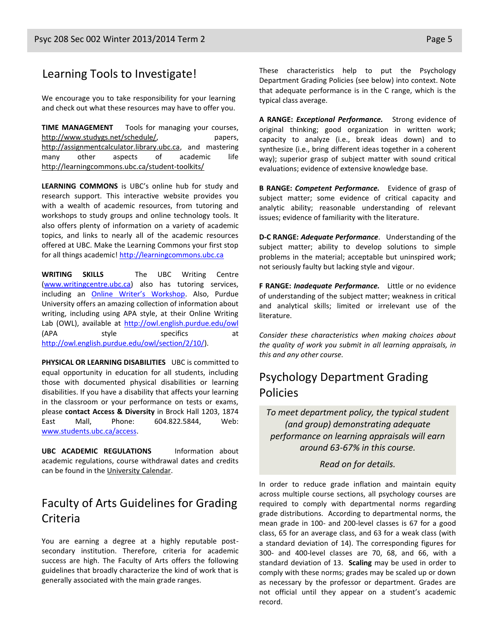### Learning Tools to Investigate!

We encourage you to take responsibility for your learning and check out what these resources may have to offer you.

**TIME MANAGEMENT** Tools for managing your courses, [http://www.studygs.net/schedule/,](http://www.studygs.net/schedule/) papers, [http://assignmentcalculator.library.ubc.ca,](http://assignmentcalculator.library.ubc.ca/) and mastering many other aspects of academic life <http://learningcommons.ubc.ca/student-toolkits/>

**LEARNING COMMONS** is UBC's online hub for study and research support. This interactive website provides you with a wealth of academic resources, from tutoring and workshops to study groups and online technology tools. It also offers plenty of information on a variety of academic topics, and links to nearly all of the academic resources offered at UBC. Make the Learning Commons your first stop for all things academic[! http://learningcommons.ubc.ca](http://learningcommons.ubc.ca/)

**WRITING SKILLS** The UBC Writing Centre [\(www.writingcentre.ubc.ca\)](http://www.writingcentre.ubc.ca/) also has tutoring services, including an [Online Writer's Workshop](http://www.writingcentre.ubc.ca/workshop/index.html). Also, Purdue University offers an amazing collection of information about writing, including using APA style, at their Online Writing Lab (OWL), available at [http://owl.english.purdue.edu/owl](http://owl.english.purdue.edu/owl/) (APA style specifics at [http://owl.english.purdue.edu/owl/section/2/10/\)](http://owl.english.purdue.edu/owl/section/2/10/).

**PHYSICAL OR LEARNING DISABILITIES** UBC is committed to equal opportunity in education for all students, including those with documented physical disabilities or learning disabilities. If you have a disability that affects your learning in the classroom or your performance on tests or exams, please **contact Access & Diversity** in Brock Hall 1203, 1874 East Mall, Phone: 604.822.5844, Web: [www.students.ubc.ca/access.](http://www.students.ubc.ca/access)

**UBC ACADEMIC REGULATIONS** Information about academic regulations, course withdrawal dates and credits can be found in the [University Calendar.](http://students.ubc.ca/calendar/academicyear.cfm)

# Faculty of Arts Guidelines for Grading Criteria

You are earning a degree at a highly reputable postsecondary institution. Therefore, criteria for academic success are high. The Faculty of Arts offers the following guidelines that broadly characterize the kind of work that is generally associated with the main grade ranges.

These characteristics help to put the Psychology Department Grading Policies (see below) into context. Note that adequate performance is in the C range, which is the typical class average.

**A RANGE:** *Exceptional Performance.* Strong evidence of original thinking; good organization in written work; capacity to analyze (i.e., break ideas down) and to synthesize (i.e., bring different ideas together in a coherent way); superior grasp of subject matter with sound critical evaluations; evidence of extensive knowledge base.

**B RANGE:** *Competent Performance.* Evidence of grasp of subject matter; some evidence of critical capacity and analytic ability; reasonable understanding of relevant issues; evidence of familiarity with the literature.

**D-C RANGE:** *Adequate Performance*. Understanding of the subject matter; ability to develop solutions to simple problems in the material; acceptable but uninspired work; not seriously faulty but lacking style and vigour.

**F RANGE:** *Inadequate Performance.* Little or no evidence of understanding of the subject matter; weakness in critical and analytical skills; limited or irrelevant use of the literature.

*Consider these characteristics when making choices about the quality of work you submit in all learning appraisals, in this and any other course.*

# Psychology Department Grading Policies

*To meet department policy, the typical student (and group) demonstrating adequate performance on learning appraisals will earn around 63-67% in this course.* 

*Read on for details.*

In order to reduce grade inflation and maintain equity across multiple course sections, all psychology courses are required to comply with departmental norms regarding grade distributions. According to departmental norms, the mean grade in 100- and 200-level classes is 67 for a good class, 65 for an average class, and 63 for a weak class (with a standard deviation of 14). The corresponding figures for 300- and 400-level classes are 70, 68, and 66, with a standard deviation of 13. **Scaling** may be used in order to comply with these norms; grades may be scaled up or down as necessary by the professor or department. Grades are not official until they appear on a student's academic record.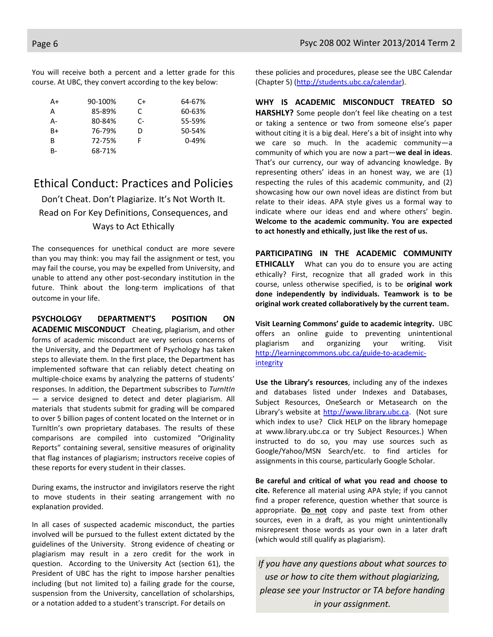You will receive both a percent and a letter grade for this course. At UBC, they convert according to the key below:

| A+        | 90-100% | C+ | 64-67%    |
|-----------|---------|----|-----------|
| А         | 85-89%  | C  | 60-63%    |
| А-        | 80-84%  | C- | 55-59%    |
| B+        | 76-79%  | D  | 50-54%    |
| B         | 72-75%  |    | $0 - 49%$ |
| <b>B-</b> | 68-71%  |    |           |

### Ethical Conduct: Practices and Policies

Don't Cheat. Don't Plagiarize. It's Not Worth It. Read on For Key Definitions, Consequences, and Ways to Act Ethically

The consequences for unethical conduct are more severe than you may think: you may fail the assignment or test, you may fail the course, you may be expelled from University, and unable to attend any other post-secondary institution in the future. Think about the long-term implications of that outcome in your life.

**PSYCHOLOGY DEPARTMENT'S POSITION ON ACADEMIC MISCONDUCT** Cheating, plagiarism, and other forms of academic misconduct are very serious concerns of the University, and the Department of Psychology has taken steps to alleviate them. In the first place, the Department has implemented software that can reliably detect cheating on multiple-choice exams by analyzing the patterns of students' responses. In addition, the Department subscribes to *TurnItIn*  — a service designed to detect and deter plagiarism. All materials that students submit for grading will be compared to over 5 billion pages of content located on the Internet or in TurnItIn's own proprietary databases. The results of these comparisons are compiled into customized "Originality Reports" containing several, sensitive measures of originality that flag instances of plagiarism; instructors receive copies of these reports for every student in their classes.

During exams, the instructor and invigilators reserve the right to move students in their seating arrangement with no explanation provided.

In all cases of suspected academic misconduct, the parties involved will be pursued to the fullest extent dictated by the guidelines of the University. Strong evidence of cheating or plagiarism may result in a zero credit for the work in question. According to the University Act (section 61), the President of UBC has the right to impose harsher penalties including (but not limited to) a failing grade for the course, suspension from the University, cancellation of scholarships, or a notation added to a student's transcript. For details on

these policies and procedures, please see the UBC Calendar (Chapter 5) [\(http://students.ubc.ca/calendar\)](http://students.ubc.ca/calendar).

**WHY IS ACADEMIC MISCONDUCT TREATED SO HARSHLY?** Some people don't feel like cheating on a test or taking a sentence or two from someone else's paper without citing it is a big deal. Here's a bit of insight into why we care so much. In the academic community—a community of which you are now a part—**we deal in ideas**. That's our currency, our way of advancing knowledge. By representing others' ideas in an honest way, we are (1) respecting the rules of this academic community, and (2) showcasing how our own novel ideas are distinct from but relate to their ideas. APA style gives us a formal way to indicate where our ideas end and where others' begin. **Welcome to the academic community. You are expected to act honestly and ethically, just like the rest of us.**

**PARTICIPATING IN THE ACADEMIC COMMUNITY ETHICALLY** What can you do to ensure you are acting ethically? First, recognize that all graded work in this course, unless otherwise specified, is to be **original work done independently by individuals. Teamwork is to be original work created collaboratively by the current team.**

**Visit Learning Commons' guide to academic integrity.** UBC offers an online guide to preventing unintentional plagiarism and organizing your writing. Visit [http://learningcommons.ubc.ca/guide-to-academic](http://learningcommons.ubc.ca/guide-to-academic-integrity)[integrity](http://learningcommons.ubc.ca/guide-to-academic-integrity)

**Use the Library's resources**, including any of the indexes and databases listed under Indexes and Databases, Subject Resources, OneSearch or Metasearch on the Library's website at [http://www.library.ubc.ca.](http://www.library.ubc.ca/) (Not sure which index to use? Click HELP on the library homepage at www.library.ubc.ca or try Subject Resources.) When instructed to do so, you may use sources such as Google/Yahoo/MSN Search/etc. to find articles for assignments in this course, particularly Google Scholar.

**Be careful and critical of what you read and choose to cite.** Reference all material using APA style; if you cannot find a proper reference, question whether that source is appropriate. **Do not** copy and paste text from other sources, even in a draft, as you might unintentionally misrepresent those words as your own in a later draft (which would still qualify as plagiarism).

*If you have any questions about what sources to use or how to cite them without plagiarizing, please see your Instructor or TA before handing in your assignment.*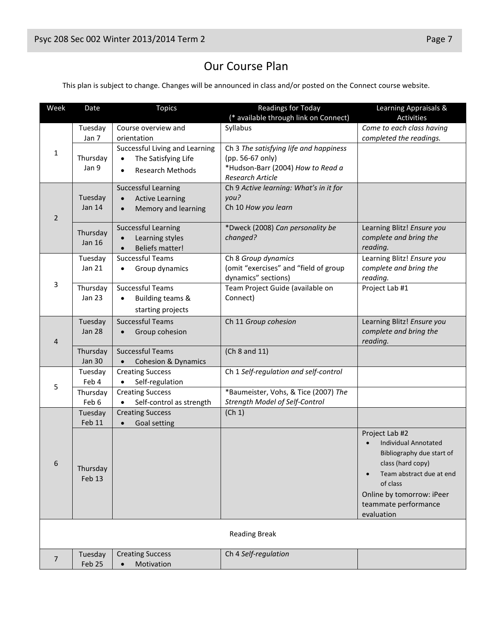# Our Course Plan

This plan is subject to change. Changes will be announced in class and/or posted on the Connect course website.

| Week                 | Date                     | <b>Topics</b>                       | <b>Readings for Today</b>              | Learning Appraisals &       |
|----------------------|--------------------------|-------------------------------------|----------------------------------------|-----------------------------|
|                      |                          |                                     | (* available through link on Connect)  | <b>Activities</b>           |
|                      | Tuesday                  | Course overview and                 | Syllabus                               | Come to each class having   |
|                      | Jan 7                    | orientation                         |                                        | completed the readings.     |
| 1                    |                          | Successful Living and Learning      | Ch 3 The satisfying life and happiness |                             |
|                      | Thursday                 | The Satisfying Life<br>$\bullet$    | (pp. 56-67 only)                       |                             |
|                      | Jan 9                    | Research Methods<br>$\bullet$       | *Hudson-Barr (2004) How to Read a      |                             |
|                      |                          |                                     | Research Article                       |                             |
|                      |                          | <b>Successful Learning</b>          | Ch 9 Active learning: What's in it for |                             |
|                      | Tuesday<br><b>Jan 14</b> | <b>Active Learning</b><br>$\bullet$ | you?                                   |                             |
| 2                    |                          | Memory and learning<br>$\bullet$    | Ch 10 How you learn                    |                             |
|                      |                          | <b>Successful Learning</b>          | *Dweck (2008) Can personality be       | Learning Blitz! Ensure you  |
|                      | Thursday                 | Learning styles<br>$\bullet$        | changed?                               | complete and bring the      |
|                      | <b>Jan 16</b>            | <b>Beliefs matter!</b>              |                                        | reading.                    |
|                      | Tuesday                  | <b>Successful Teams</b>             | Ch 8 Group dynamics                    | Learning Blitz! Ensure you  |
|                      | Jan 21                   | Group dynamics<br>$\bullet$         | (omit "exercises" and "field of group  | complete and bring the      |
|                      |                          |                                     | dynamics" sections)                    | reading.                    |
| 3                    | Thursday                 | <b>Successful Teams</b>             | Team Project Guide (available on       | Project Lab #1              |
|                      | <b>Jan 23</b>            | Building teams &<br>$\bullet$       | Connect)                               |                             |
|                      |                          | starting projects                   |                                        |                             |
|                      | Tuesday                  | <b>Successful Teams</b>             | Ch 11 Group cohesion                   | Learning Blitz! Ensure you  |
|                      | <b>Jan 28</b>            | Group cohesion<br>$\bullet$         |                                        | complete and bring the      |
| 4                    |                          |                                     |                                        | reading.                    |
|                      | Thursday                 | <b>Successful Teams</b>             | (Ch 8 and 11)                          |                             |
|                      | <b>Jan 30</b>            | <b>Cohesion &amp; Dynamics</b>      |                                        |                             |
|                      | Tuesday                  | <b>Creating Success</b>             | Ch 1 Self-regulation and self-control  |                             |
| 5                    | Feb 4                    | Self-regulation                     |                                        |                             |
|                      | Thursday                 | <b>Creating Success</b>             | *Baumeister, Vohs, & Tice (2007) The   |                             |
|                      | Feb 6                    | Self-control as strength            | Strength Model of Self-Control         |                             |
|                      | Tuesday                  | <b>Creating Success</b>             | (Ch 1)                                 |                             |
|                      | Feb 11                   | Goal setting<br>$\bullet$           |                                        |                             |
| $\mathfrak b$        |                          |                                     |                                        | Project Lab #2              |
|                      |                          |                                     |                                        | <b>Individual Annotated</b> |
|                      |                          |                                     |                                        | Bibliography due start of   |
|                      | Thursday                 |                                     |                                        | class (hard copy)           |
|                      | Feb 13                   |                                     |                                        | Team abstract due at end    |
|                      |                          |                                     |                                        | of class                    |
|                      |                          |                                     |                                        | Online by tomorrow: iPeer   |
|                      |                          |                                     |                                        | teammate performance        |
|                      |                          |                                     |                                        | evaluation                  |
| <b>Reading Break</b> |                          |                                     |                                        |                             |
|                      |                          |                                     |                                        |                             |
|                      | Tuesday                  | <b>Creating Success</b>             | Ch 4 Self-regulation                   |                             |
| $\overline{7}$       | Feb 25                   | Motivation<br>$\bullet$             |                                        |                             |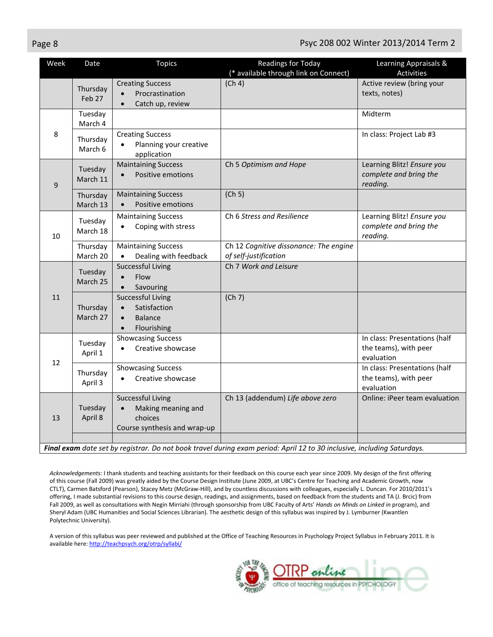### Page 8 Psyc 208 002 Winter 2013/2014 Term 2

| Week | Date                 | <b>Topics</b>                                                                                                    | Readings for Today<br>(* available through link on Connect)                                                             | Learning Appraisals &<br>Activities                                  |
|------|----------------------|------------------------------------------------------------------------------------------------------------------|-------------------------------------------------------------------------------------------------------------------------|----------------------------------------------------------------------|
|      | Thursday<br>Feb 27   | <b>Creating Success</b><br>Procrastination<br>Catch up, review<br>$\bullet$                                      | (Ch 4)                                                                                                                  | Active review (bring your<br>texts, notes)                           |
|      | Tuesday<br>March 4   |                                                                                                                  |                                                                                                                         | Midterm                                                              |
| 8    | Thursday<br>March 6  | <b>Creating Success</b><br>Planning your creative<br>application                                                 |                                                                                                                         | In class: Project Lab #3                                             |
| 9    | Tuesday<br>March 11  | <b>Maintaining Success</b><br>Positive emotions<br>$\bullet$                                                     | Ch 5 Optimism and Hope                                                                                                  | Learning Blitz! Ensure you<br>complete and bring the<br>reading.     |
|      | Thursday<br>March 13 | <b>Maintaining Success</b><br>Positive emotions<br>$\bullet$                                                     | (Ch 5)                                                                                                                  |                                                                      |
| 10   | Tuesday<br>March 18  | <b>Maintaining Success</b><br>Coping with stress<br>$\bullet$                                                    | Ch 6 Stress and Resilience                                                                                              | Learning Blitz! Ensure you<br>complete and bring the<br>reading.     |
|      | Thursday<br>March 20 | <b>Maintaining Success</b><br>Dealing with feedback                                                              | Ch 12 Cognitive dissonance: The engine<br>of self-justification                                                         |                                                                      |
|      | Tuesday<br>March 25  | <b>Successful Living</b><br>Flow<br>$\bullet$<br>Savouring<br>$\bullet$                                          | Ch 7 Work and Leisure                                                                                                   |                                                                      |
| 11   | Thursday<br>March 27 | <b>Successful Living</b><br>Satisfaction<br>$\bullet$<br><b>Balance</b><br>$\bullet$<br>Flourishing<br>$\bullet$ | (Ch 7)                                                                                                                  |                                                                      |
| 12   | Tuesday<br>April 1   | <b>Showcasing Success</b><br>Creative showcase<br>$\bullet$                                                      |                                                                                                                         | In class: Presentations (half<br>the teams), with peer<br>evaluation |
|      | Thursday<br>April 3  | <b>Showcasing Success</b><br>Creative showcase                                                                   |                                                                                                                         | In class: Presentations (half<br>the teams), with peer<br>evaluation |
| 13   | Tuesday<br>April 8   | <b>Successful Living</b><br>Making meaning and<br>$\bullet$<br>choices<br>Course synthesis and wrap-up           | Ch 13 (addendum) Life above zero                                                                                        | Online: iPeer team evaluation                                        |
|      |                      |                                                                                                                  | Final exam date set by registrar. Do not book travel during exam period: April 12 to 30 inclusive, including Saturdays. |                                                                      |

*Acknowledgements:* I thank students and teaching assistants for their feedback on this course each year since 2009. My design of the first offering of this course (Fall 2009) was greatly aided by the Course Design Institute (June 2009, at UBC's Centre for Teaching and Academic Growth, now CTLT), Carmen Batsford (Pearson), Stacey Metz (McGraw-Hill), and by countless discussions with colleagues, especially L. Duncan. For 2010/2011's offering, I made substantial revisions to this course design, readings, and assignments, based on feedback from the students and TA (J. Brcic) from Fall 2009, as well as consultations with Negin Mirriahi (through sponsorship from UBC Faculty of Arts' *Hands on Minds on Linked in* program), and Sheryl Adam (UBC Humanities and Social Sciences Librarian). The aesthetic design of this syllabus was inspired by J. Lymburner (Kwantlen Polytechnic University).

A version of this syllabus was peer reviewed and published at the Office of Teaching Resources in Psychology Project Syllabus in February 2011. It is available here[: http://teachpsych.org/otrp/syllabi/](http://teachpsych.org/otrp/syllabi/)